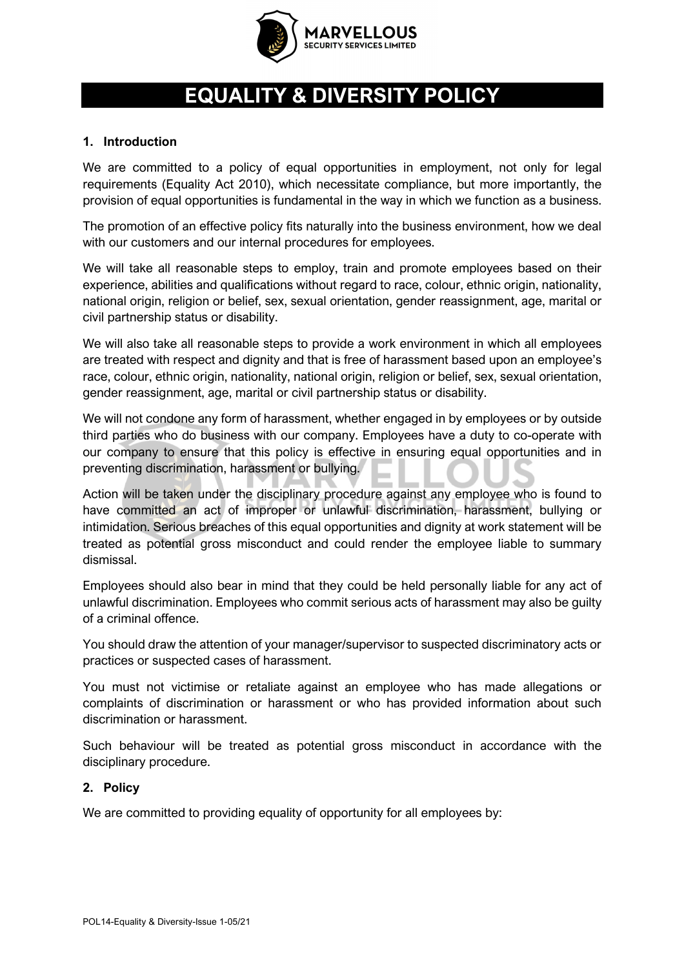

# **EQUALITY & DIVERSITY POLICY**

#### **1. Introduction**

We are committed to a policy of equal opportunities in employment, not only for legal requirements (Equality Act 2010), which necessitate compliance, but more importantly, the provision of equal opportunities is fundamental in the way in which we function as a business.

The promotion of an effective policy fits naturally into the business environment, how we deal with our customers and our internal procedures for employees.

We will take all reasonable steps to employ, train and promote employees based on their experience, abilities and qualifications without regard to race, colour, ethnic origin, nationality, national origin, religion or belief, sex, sexual orientation, gender reassignment, age, marital or civil partnership status or disability.

We will also take all reasonable steps to provide a work environment in which all employees are treated with respect and dignity and that is free of harassment based upon an employee's race, colour, ethnic origin, nationality, national origin, religion or belief, sex, sexual orientation, gender reassignment, age, marital or civil partnership status or disability.

We will not condone any form of harassment, whether engaged in by employees or by outside third parties who do business with our company. Employees have a duty to co-operate with our company to ensure that this policy is effective in ensuring equal opportunities and in preventing discrimination, harassment or bullying.

Action will be taken under the disciplinary procedure against any employee who is found to have committed an act of improper or unlawful discrimination, harassment, bullying or intimidation. Serious breaches of this equal opportunities and dignity at work statement will be treated as potential gross misconduct and could render the employee liable to summary dismissal.

Employees should also bear in mind that they could be held personally liable for any act of unlawful discrimination. Employees who commit serious acts of harassment may also be guilty of a criminal offence.

You should draw the attention of your manager/supervisor to suspected discriminatory acts or practices or suspected cases of harassment.

You must not victimise or retaliate against an employee who has made allegations or complaints of discrimination or harassment or who has provided information about such discrimination or harassment.

Such behaviour will be treated as potential gross misconduct in accordance with the disciplinary procedure.

#### **2. Policy**

We are committed to providing equality of opportunity for all employees by: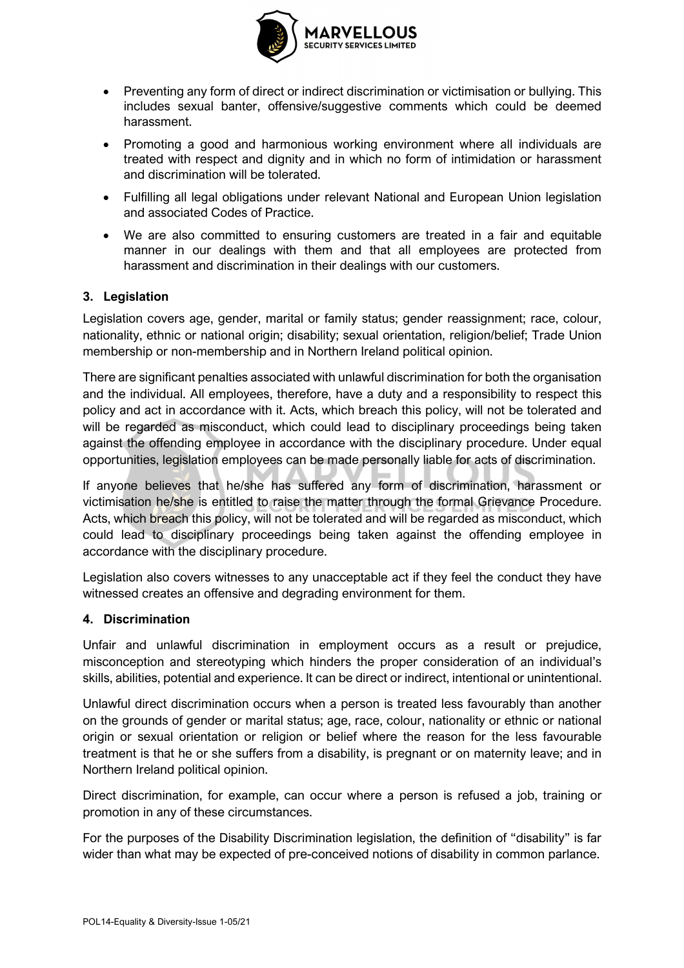

- Preventing any form of direct or indirect discrimination or victimisation or bullying. This includes sexual banter, offensive/suggestive comments which could be deemed harassment.
- Promoting a good and harmonious working environment where all individuals are treated with respect and dignity and in which no form of intimidation or harassment and discrimination will be tolerated.
- Fulfilling all legal obligations under relevant National and European Union legislation and associated Codes of Practice.
- We are also committed to ensuring customers are treated in a fair and equitable manner in our dealings with them and that all employees are protected from harassment and discrimination in their dealings with our customers.

#### **3. Legislation**

Legislation covers age, gender, marital or family status; gender reassignment; race, colour, nationality, ethnic or national origin; disability; sexual orientation, religion/belief; Trade Union membership or non-membership and in Northern Ireland political opinion.

There are significant penalties associated with unlawful discrimination for both the organisation and the individual. All employees, therefore, have a duty and a responsibility to respect this policy and act in accordance with it. Acts, which breach this policy, will not be tolerated and will be regarded as misconduct, which could lead to disciplinary proceedings being taken against the offending employee in accordance with the disciplinary procedure. Under equal opportunities, legislation employees can be made personally liable for acts of discrimination.

If anyone believes that he/she has suffered any form of discrimination, harassment or victimisation he/she is entitled to raise the matter through the formal Grievance Procedure. Acts, which breach this policy, will not be tolerated and will be regarded as misconduct, which could lead to disciplinary proceedings being taken against the offending employee in accordance with the disciplinary procedure.

Legislation also covers witnesses to any unacceptable act if they feel the conduct they have witnessed creates an offensive and degrading environment for them.

#### **4. Discrimination**

Unfair and unlawful discrimination in employment occurs as a result or prejudice, misconception and stereotyping which hinders the proper consideration of an individual's skills, abilities, potential and experience. It can be direct or indirect, intentional or unintentional.

Unlawful direct discrimination occurs when a person is treated less favourably than another on the grounds of gender or marital status; age, race, colour, nationality or ethnic or national origin or sexual orientation or religion or belief where the reason for the less favourable treatment is that he or she suffers from a disability, is pregnant or on maternity leave; and in Northern Ireland political opinion.

Direct discrimination, for example, can occur where a person is refused a job, training or promotion in any of these circumstances.

For the purposes of the Disability Discrimination legislation, the definition of "disability" is far wider than what may be expected of pre-conceived notions of disability in common parlance.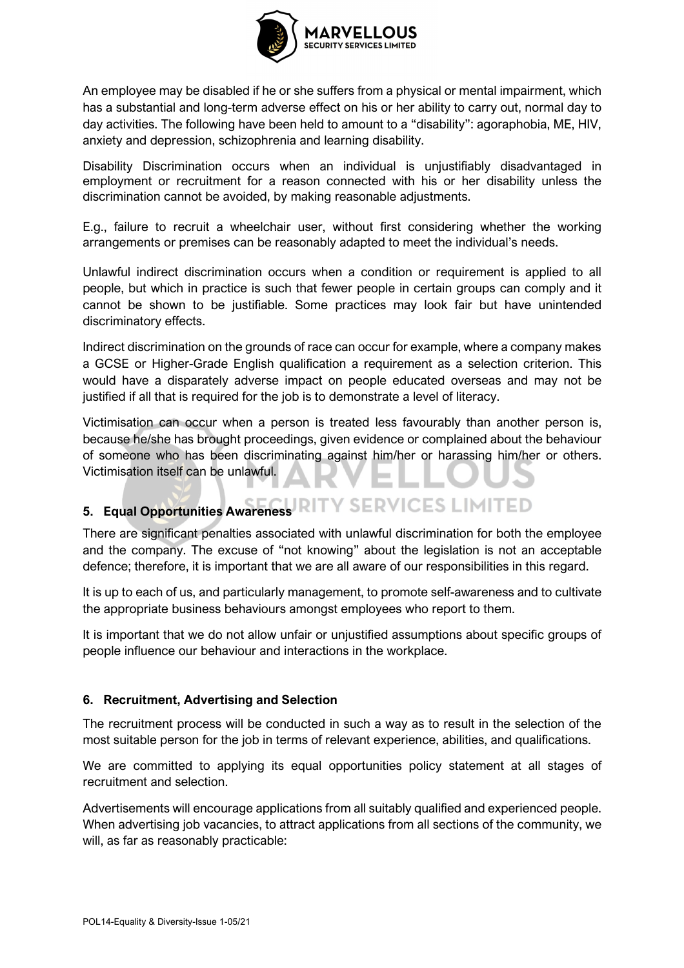

An employee may be disabled if he or she suffers from a physical or mental impairment, which has a substantial and long-term adverse effect on his or her ability to carry out, normal day to day activities. The following have been held to amount to a "disability": agoraphobia, ME, HIV, anxiety and depression, schizophrenia and learning disability.

Disability Discrimination occurs when an individual is unjustifiably disadvantaged in employment or recruitment for a reason connected with his or her disability unless the discrimination cannot be avoided, by making reasonable adjustments.

E.g., failure to recruit a wheelchair user, without first considering whether the working arrangements or premises can be reasonably adapted to meet the individual's needs.

Unlawful indirect discrimination occurs when a condition or requirement is applied to all people, but which in practice is such that fewer people in certain groups can comply and it cannot be shown to be justifiable. Some practices may look fair but have unintended discriminatory effects.

Indirect discrimination on the grounds of race can occur for example, where a company makes a GCSE or Higher-Grade English qualification a requirement as a selection criterion. This would have a disparately adverse impact on people educated overseas and may not be justified if all that is required for the job is to demonstrate a level of literacy.

Victimisation can occur when a person is treated less favourably than another person is, because he/she has brought proceedings, given evidence or complained about the behaviour of someone who has been discriminating against him/her or harassing him/her or others. Victimisation itself can be unlawful.

# **5. Equal Opportunities Awareness**

There are significant penalties associated with unlawful discrimination for both the employee and the company. The excuse of "not knowing" about the legislation is not an acceptable defence; therefore, it is important that we are all aware of our responsibilities in this regard.

It is up to each of us, and particularly management, to promote self-awareness and to cultivate the appropriate business behaviours amongst employees who report to them.

It is important that we do not allow unfair or unjustified assumptions about specific groups of people influence our behaviour and interactions in the workplace.

## **6. Recruitment, Advertising and Selection**

The recruitment process will be conducted in such a way as to result in the selection of the most suitable person for the job in terms of relevant experience, abilities, and qualifications.

We are committed to applying its equal opportunities policy statement at all stages of recruitment and selection.

Advertisements will encourage applications from all suitably qualified and experienced people. When advertising job vacancies, to attract applications from all sections of the community, we will, as far as reasonably practicable: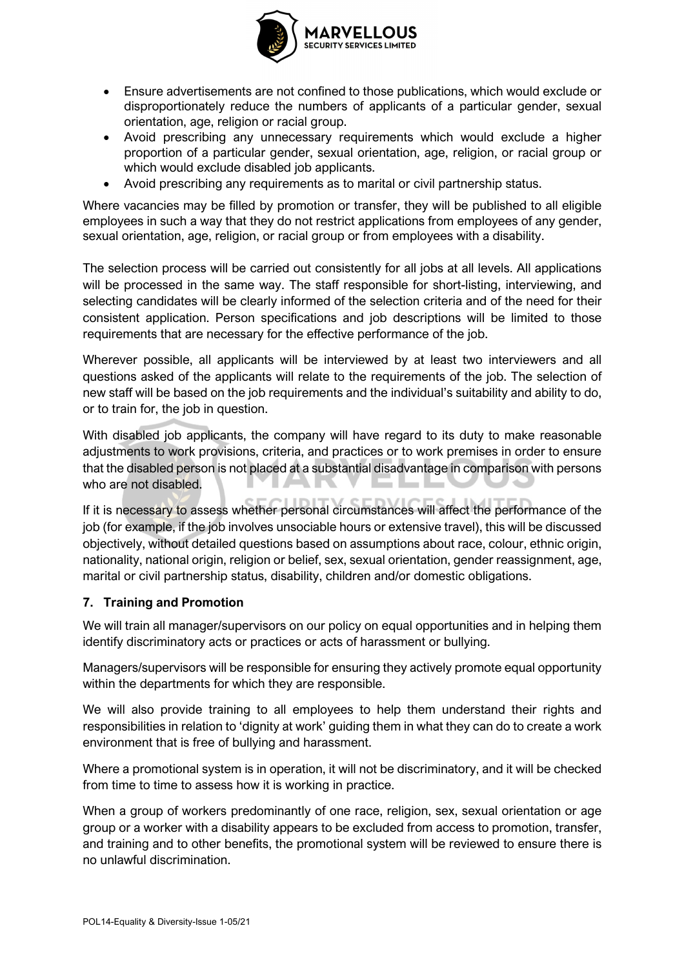

- Ensure advertisements are not confined to those publications, which would exclude or disproportionately reduce the numbers of applicants of a particular gender, sexual orientation, age, religion or racial group.
- Avoid prescribing any unnecessary requirements which would exclude a higher proportion of a particular gender, sexual orientation, age, religion, or racial group or which would exclude disabled job applicants.
- Avoid prescribing any requirements as to marital or civil partnership status.

Where vacancies may be filled by promotion or transfer, they will be published to all eligible employees in such a way that they do not restrict applications from employees of any gender, sexual orientation, age, religion, or racial group or from employees with a disability.

The selection process will be carried out consistently for all jobs at all levels. All applications will be processed in the same way. The staff responsible for short-listing, interviewing, and selecting candidates will be clearly informed of the selection criteria and of the need for their consistent application. Person specifications and job descriptions will be limited to those requirements that are necessary for the effective performance of the job.

Wherever possible, all applicants will be interviewed by at least two interviewers and all questions asked of the applicants will relate to the requirements of the job. The selection of new staff will be based on the job requirements and the individual's suitability and ability to do, or to train for, the job in question.

With disabled job applicants, the company will have regard to its duty to make reasonable adjustments to work provisions, criteria, and practices or to work premises in order to ensure that the disabled person is not placed at a substantial disadvantage in comparison with persons who are not disabled.

If it is necessary to assess whether personal circumstances will affect the performance of the job (for example, if the job involves unsociable hours or extensive travel), this will be discussed objectively, without detailed questions based on assumptions about race, colour, ethnic origin, nationality, national origin, religion or belief, sex, sexual orientation, gender reassignment, age, marital or civil partnership status, disability, children and/or domestic obligations.

## **7. Training and Promotion**

We will train all manager/supervisors on our policy on equal opportunities and in helping them identify discriminatory acts or practices or acts of harassment or bullying.

Managers/supervisors will be responsible for ensuring they actively promote equal opportunity within the departments for which they are responsible.

We will also provide training to all employees to help them understand their rights and responsibilities in relation to 'dignity at work' guiding them in what they can do to create a work environment that is free of bullying and harassment.

Where a promotional system is in operation, it will not be discriminatory, and it will be checked from time to time to assess how it is working in practice.

When a group of workers predominantly of one race, religion, sex, sexual orientation or age group or a worker with a disability appears to be excluded from access to promotion, transfer, and training and to other benefits, the promotional system will be reviewed to ensure there is no unlawful discrimination.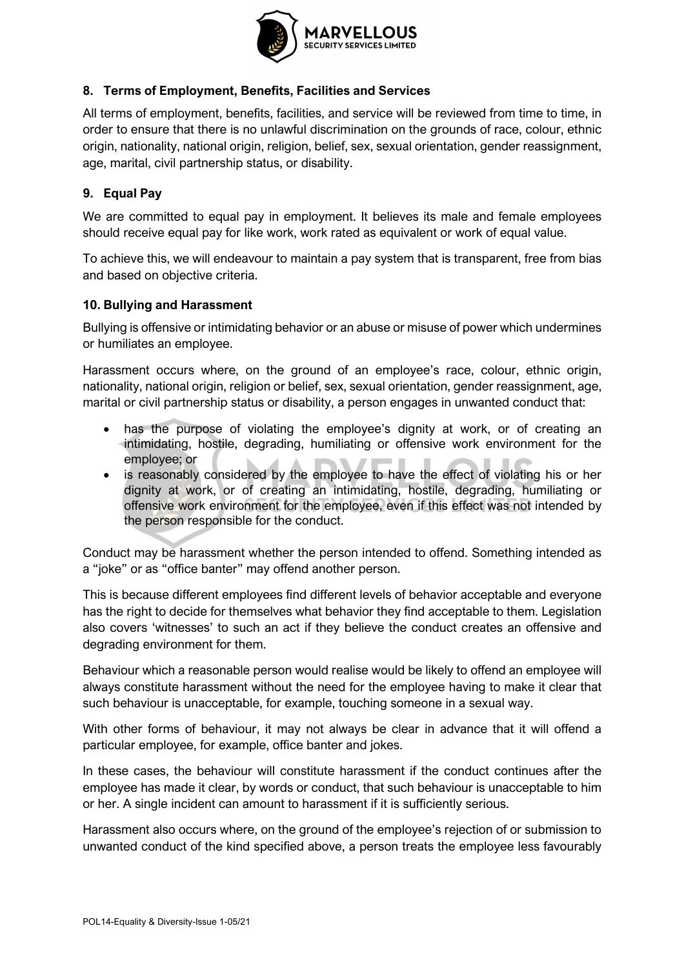

# **8. Terms of Employment, Benefits, Facilities and Services**

All terms of employment, benefits, facilities, and service will be reviewed from time to time, in order to ensure that there is no unlawful discrimination on the grounds of race, colour, ethnic origin, nationality, national origin, religion, belief, sex, sexual orientation, gender reassignment, age, marital, civil partnership status, or disability.

# **9. Equal Pay**

We are committed to equal pay in employment. It believes its male and female employees should receive equal pay for like work, work rated as equivalent or work of equal value.

To achieve this, we will endeavour to maintain a pay system that is transparent, free from bias and based on objective criteria.

## **10. Bullying and Harassment**

Bullying is offensive or intimidating behavior or an abuse or misuse of power which undermines or humiliates an employee.

Harassment occurs where, on the ground of an employee's race, colour, ethnic origin, nationality, national origin, religion or belief, sex, sexual orientation, gender reassignment, age, marital or civil partnership status or disability, a person engages in unwanted conduct that:

- has the purpose of violating the employee's dignity at work, or of creating an intimidating, hostile, degrading, humiliating or offensive work environment for the employee; or
- is reasonably considered by the employee to have the effect of violating his or her dignity at work, or of creating an intimidating, hostile, degrading, humiliating or offensive work environment for the employee, even if this effect was not intended by the person responsible for the conduct.

Conduct may be harassment whether the person intended to offend. Something intended as a "joke" or as "office banter" may offend another person.

This is because different employees find different levels of behavior acceptable and everyone has the right to decide for themselves what behavior they find acceptable to them. Legislation also covers 'witnesses' to such an act if they believe the conduct creates an offensive and degrading environment for them.

Behaviour which a reasonable person would realise would be likely to offend an employee will always constitute harassment without the need for the employee having to make it clear that such behaviour is unacceptable, for example, touching someone in a sexual way.

With other forms of behaviour, it may not always be clear in advance that it will offend a particular employee, for example, office banter and jokes.

In these cases, the behaviour will constitute harassment if the conduct continues after the employee has made it clear, by words or conduct, that such behaviour is unacceptable to him or her. A single incident can amount to harassment if it is sufficiently serious.

Harassment also occurs where, on the ground of the employee's rejection of or submission to unwanted conduct of the kind specified above, a person treats the employee less favourably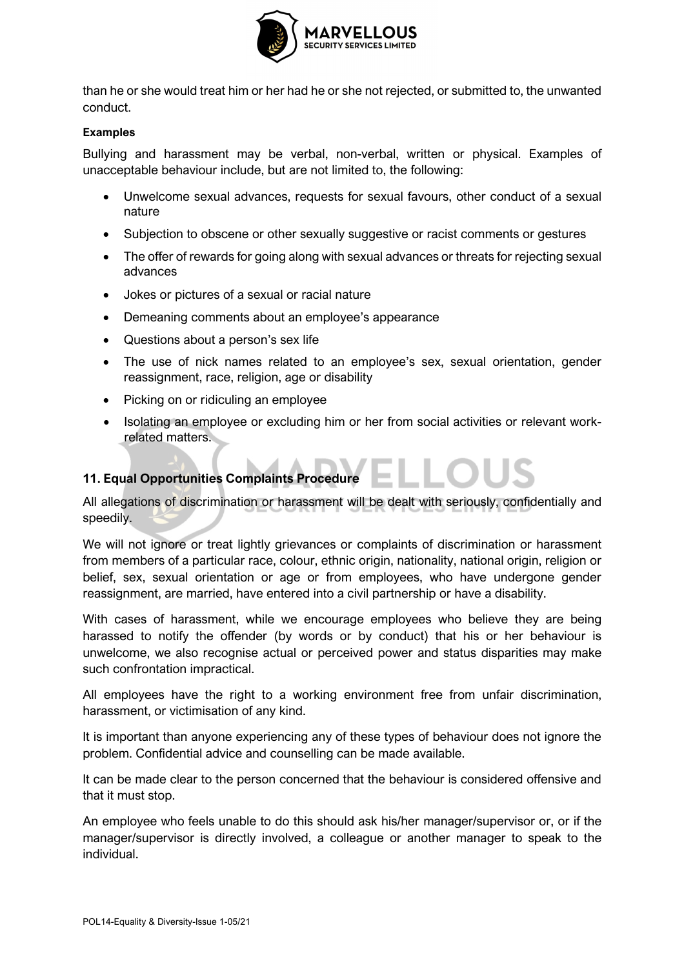

than he or she would treat him or her had he or she not rejected, or submitted to, the unwanted conduct.

#### **Examples**

Bullying and harassment may be verbal, non-verbal, written or physical. Examples of unacceptable behaviour include, but are not limited to, the following:

- Unwelcome sexual advances, requests for sexual favours, other conduct of a sexual nature
- Subjection to obscene or other sexually suggestive or racist comments or gestures
- The offer of rewards for going along with sexual advances or threats for rejecting sexual advances
- Jokes or pictures of a sexual or racial nature
- Demeaning comments about an employee's appearance
- Questions about a person's sex life
- The use of nick names related to an employee's sex, sexual orientation, gender reassignment, race, religion, age or disability
- Picking on or ridiculing an employee
- Isolating an employee or excluding him or her from social activities or relevant workrelated matters.

## **11. Equal Opportunities Complaints Procedure**

All allegations of discrimination or harassment will be dealt with seriously, confidentially and speedily.

We will not ignore or treat lightly grievances or complaints of discrimination or harassment from members of a particular race, colour, ethnic origin, nationality, national origin, religion or belief, sex, sexual orientation or age or from employees, who have undergone gender reassignment, are married, have entered into a civil partnership or have a disability.

With cases of harassment, while we encourage employees who believe they are being harassed to notify the offender (by words or by conduct) that his or her behaviour is unwelcome, we also recognise actual or perceived power and status disparities may make such confrontation impractical.

All employees have the right to a working environment free from unfair discrimination, harassment, or victimisation of any kind.

It is important than anyone experiencing any of these types of behaviour does not ignore the problem. Confidential advice and counselling can be made available.

It can be made clear to the person concerned that the behaviour is considered offensive and that it must stop.

An employee who feels unable to do this should ask his/her manager/supervisor or, or if the manager/supervisor is directly involved, a colleague or another manager to speak to the individual.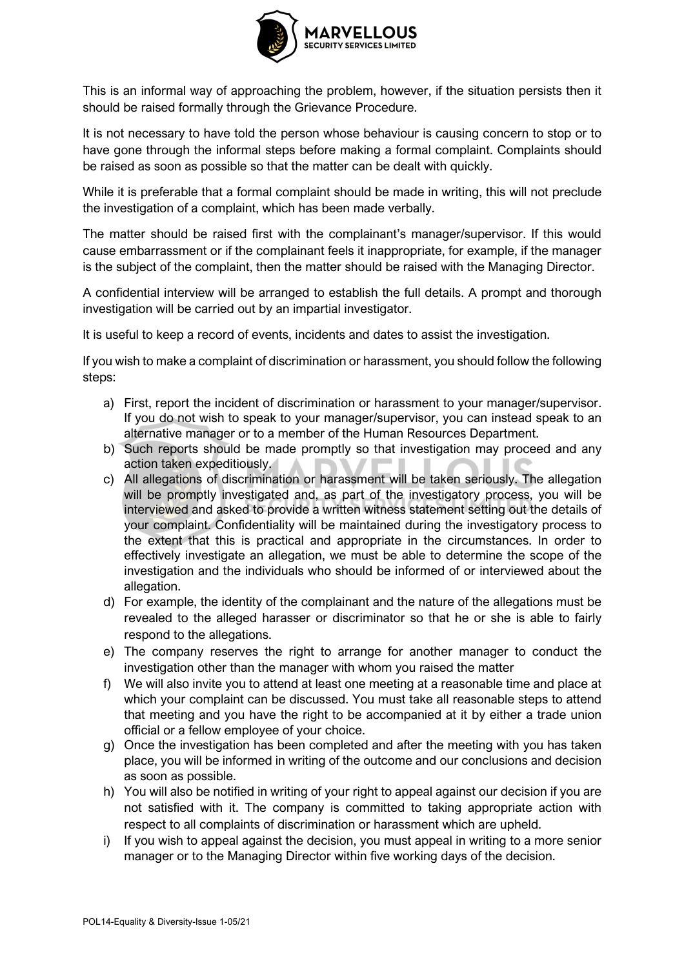

This is an informal way of approaching the problem, however, if the situation persists then it should be raised formally through the Grievance Procedure.

It is not necessary to have told the person whose behaviour is causing concern to stop or to have gone through the informal steps before making a formal complaint. Complaints should be raised as soon as possible so that the matter can be dealt with quickly.

While it is preferable that a formal complaint should be made in writing, this will not preclude the investigation of a complaint, which has been made verbally.

The matter should be raised first with the complainant's manager/supervisor. If this would cause embarrassment or if the complainant feels it inappropriate, for example, if the manager is the subject of the complaint, then the matter should be raised with the Managing Director.

A confidential interview will be arranged to establish the full details. A prompt and thorough investigation will be carried out by an impartial investigator.

It is useful to keep a record of events, incidents and dates to assist the investigation.

If you wish to make a complaint of discrimination or harassment, you should follow the following steps:

- a) First, report the incident of discrimination or harassment to your manager/supervisor. If you do not wish to speak to your manager/supervisor, you can instead speak to an alternative manager or to a member of the Human Resources Department.
- b) Such reports should be made promptly so that investigation may proceed and any action taken expeditiously.
- c) All allegations of discrimination or harassment will be taken seriously. The allegation will be promptly investigated and, as part of the investigatory process, you will be interviewed and asked to provide a written witness statement setting out the details of your complaint. Confidentiality will be maintained during the investigatory process to the extent that this is practical and appropriate in the circumstances. In order to effectively investigate an allegation, we must be able to determine the scope of the investigation and the individuals who should be informed of or interviewed about the allegation.
- d) For example, the identity of the complainant and the nature of the allegations must be revealed to the alleged harasser or discriminator so that he or she is able to fairly respond to the allegations.
- e) The company reserves the right to arrange for another manager to conduct the investigation other than the manager with whom you raised the matter
- f) We will also invite you to attend at least one meeting at a reasonable time and place at which your complaint can be discussed. You must take all reasonable steps to attend that meeting and you have the right to be accompanied at it by either a trade union official or a fellow employee of your choice.
- g) Once the investigation has been completed and after the meeting with you has taken place, you will be informed in writing of the outcome and our conclusions and decision as soon as possible.
- h) You will also be notified in writing of your right to appeal against our decision if you are not satisfied with it. The company is committed to taking appropriate action with respect to all complaints of discrimination or harassment which are upheld.
- i) If you wish to appeal against the decision, you must appeal in writing to a more senior manager or to the Managing Director within five working days of the decision.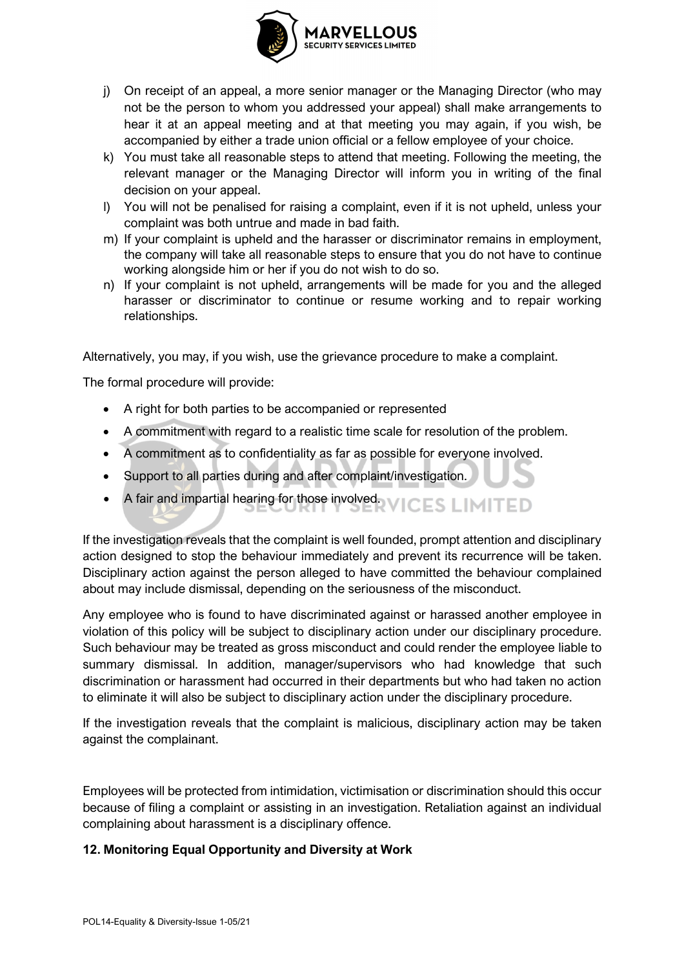

- j) On receipt of an appeal, a more senior manager or the Managing Director (who may not be the person to whom you addressed your appeal) shall make arrangements to hear it at an appeal meeting and at that meeting you may again, if you wish, be accompanied by either a trade union official or a fellow employee of your choice.
- k) You must take all reasonable steps to attend that meeting. Following the meeting, the relevant manager or the Managing Director will inform you in writing of the final decision on your appeal.
- l) You will not be penalised for raising a complaint, even if it is not upheld, unless your complaint was both untrue and made in bad faith.
- m) If your complaint is upheld and the harasser or discriminator remains in employment, the company will take all reasonable steps to ensure that you do not have to continue working alongside him or her if you do not wish to do so.
- n) If your complaint is not upheld, arrangements will be made for you and the alleged harasser or discriminator to continue or resume working and to repair working relationships.

Alternatively, you may, if you wish, use the grievance procedure to make a complaint.

The formal procedure will provide:

- A right for both parties to be accompanied or represented
- A commitment with regard to a realistic time scale for resolution of the problem.
- A commitment as to confidentiality as far as possible for everyone involved.
- Support to all parties during and after complaint/investigation.
- A fair and impartial hearing for those involved. CES LIMITED

If the investigation reveals that the complaint is well founded, prompt attention and disciplinary action designed to stop the behaviour immediately and prevent its recurrence will be taken. Disciplinary action against the person alleged to have committed the behaviour complained about may include dismissal, depending on the seriousness of the misconduct.

Any employee who is found to have discriminated against or harassed another employee in violation of this policy will be subject to disciplinary action under our disciplinary procedure. Such behaviour may be treated as gross misconduct and could render the employee liable to summary dismissal. In addition, manager/supervisors who had knowledge that such discrimination or harassment had occurred in their departments but who had taken no action to eliminate it will also be subject to disciplinary action under the disciplinary procedure.

If the investigation reveals that the complaint is malicious, disciplinary action may be taken against the complainant.

Employees will be protected from intimidation, victimisation or discrimination should this occur because of filing a complaint or assisting in an investigation. Retaliation against an individual complaining about harassment is a disciplinary offence.

## **12. Monitoring Equal Opportunity and Diversity at Work**